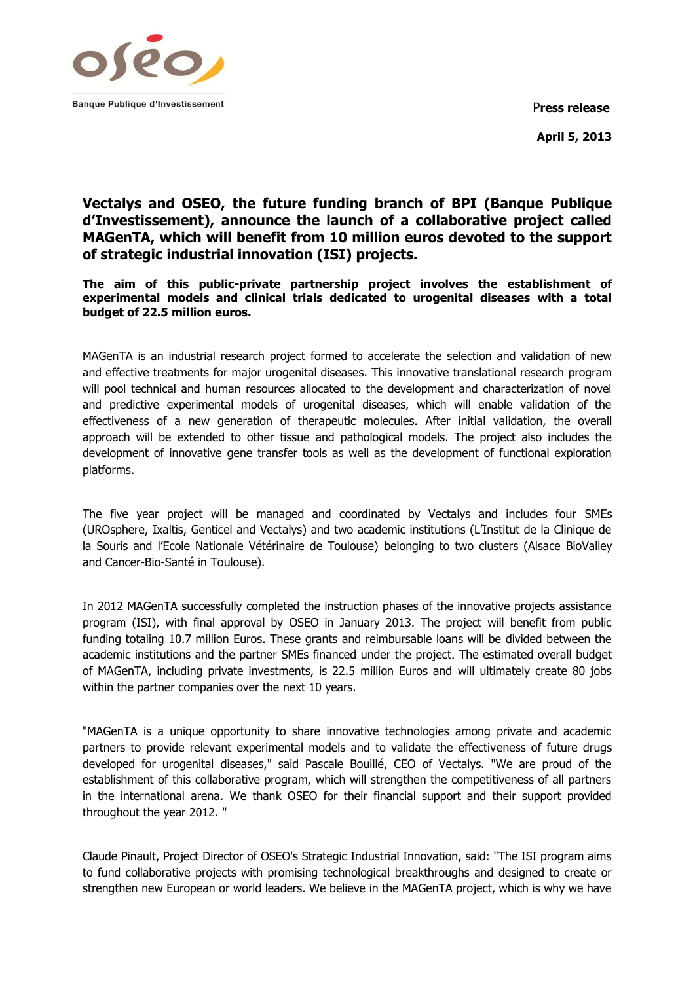

P**ress release April 5, 2013**

# **Vectalys and OSEO, the future funding branch of BPI (Banque Publique d'Investissement), announce the launch of a collaborative project called MAGenTA, which will benefit from 10 million euros devoted to the support of strategic industrial innovation (ISI) projects.**

**The aim of this public-private partnership project involves the establishment of experimental models and clinical trials dedicated to urogenital diseases with a total budget of 22.5 million euros.**

MAGenTA is an industrial research project formed to accelerate the selection and validation of new and effective treatments for major urogenital diseases. This innovative translational research program will pool technical and human resources allocated to the development and characterization of novel and predictive experimental models of urogenital diseases, which will enable validation of the effectiveness of a new generation of therapeutic molecules. After initial validation, the overall approach will be extended to other tissue and pathological models. The project also includes the development of innovative gene transfer tools as well as the development of functional exploration platforms.

The five year project will be managed and coordinated by Vectalys and includes four SMEs (UROsphere, Ixaltis, Genticel and Vectalys) and two academic institutions (L'Institut de la Clinique de la Souris and l'Ecole Nationale Vétérinaire de Toulouse) belonging to two clusters (Alsace BioValley and Cancer-Bio-Santé in Toulouse).

In 2012 MAGenTA successfully completed the instruction phases of the innovative projects assistance program (ISI), with final approval by OSEO in January 2013. The project will benefit from public funding totaling 10.7 million Euros. These grants and reimbursable loans will be divided between the academic institutions and the partner SMEs financed under the project. The estimated overall budget of MAGenTA, including private investments, is 22.5 million Euros and will ultimately create 80 jobs within the partner companies over the next 10 years.

"MAGenTA is a unique opportunity to share innovative technologies among private and academic partners to provide relevant experimental models and to validate the effectiveness of future drugs developed for urogenital diseases," said Pascale Bouillé, CEO of Vectalys. "We are proud of the establishment of this collaborative program, which will strengthen the competitiveness of all partners in the international arena. We thank OSEO for their financial support and their support provided throughout the year 2012. "

Claude Pinault, Project Director of OSEO's Strategic Industrial Innovation, said: "The ISI program aims to fund collaborative projects with promising technological breakthroughs and designed to create or strengthen new European or world leaders. We believe in the MAGenTA project, which is why we have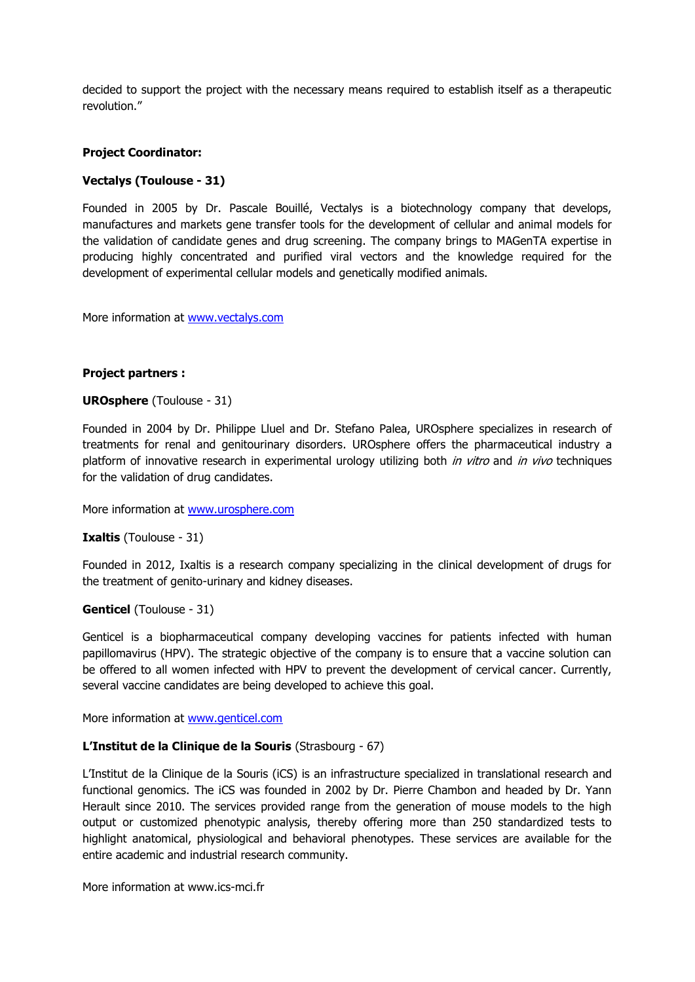decided to support the project with the necessary means required to establish itself as a therapeutic revolution."

#### **Project Coordinator:**

## **Vectalys (Toulouse - 31)**

Founded in 2005 by Dr. Pascale Bouillé, Vectalys is a biotechnology company that develops, manufactures and markets gene transfer tools for the development of cellular and animal models for the validation of candidate genes and drug screening. The company brings to MAGenTA expertise in producing highly concentrated and purified viral vectors and the knowledge required for the development of experimental cellular models and genetically modified animals.

More information at [www.vectalys.com](http://www.vectalys.com/)

#### **Project partners :**

#### **UROsphere** (Toulouse - 31)

Founded in 2004 by Dr. Philippe Lluel and Dr. Stefano Palea, UROsphere specializes in research of treatments for renal and genitourinary disorders. UROsphere offers the pharmaceutical industry a platform of innovative research in experimental urology utilizing both *in vitro* and *in vivo* techniques for the validation of drug candidates.

More information at [www.urosphere.com](http://www.urosphere.com/)

#### **Ixaltis** (Toulouse - 31)

Founded in 2012, Ixaltis is a research company specializing in the clinical development of drugs for the treatment of genito-urinary and kidney diseases.

#### **Genticel** (Toulouse - 31)

Genticel is a biopharmaceutical company developing vaccines for patients infected with human papillomavirus (HPV). The strategic objective of the company is to ensure that a vaccine solution can be offered to all women infected with HPV to prevent the development of cervical cancer. Currently, several vaccine candidates are being developed to achieve this goal.

More information at [www.genticel.com](http://www.genticel.com/)

#### **L'Institut de la Clinique de la Souris** (Strasbourg - 67)

L'Institut de la Clinique de la Souris (iCS) is an infrastructure specialized in translational research and functional genomics. The iCS was founded in 2002 by Dr. Pierre Chambon and headed by Dr. Yann Herault since 2010. The services provided range from the generation of mouse models to the high output or customized phenotypic analysis, thereby offering more than 250 standardized tests to highlight anatomical, physiological and behavioral phenotypes. These services are available for the entire academic and industrial research community.

More information at www.ics-mci.fr